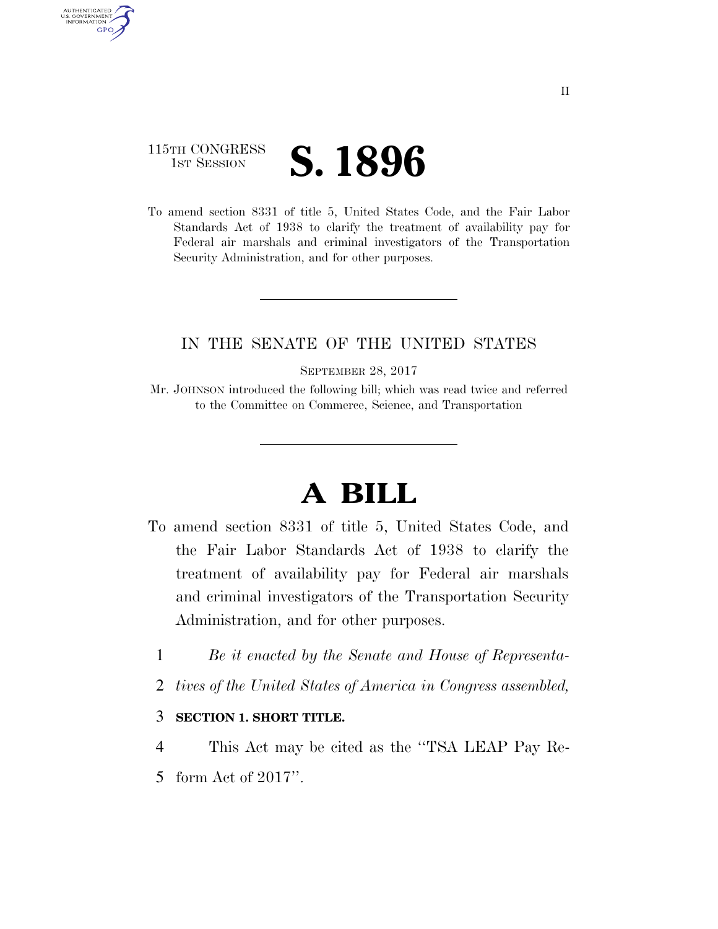## 115TH CONGRESS **IST SESSION S. 1896**

AUTHENTICATED U.S. GOVERNMENT **GPO** 

> To amend section 8331 of title 5, United States Code, and the Fair Labor Standards Act of 1938 to clarify the treatment of availability pay for Federal air marshals and criminal investigators of the Transportation Security Administration, and for other purposes.

### IN THE SENATE OF THE UNITED STATES

SEPTEMBER 28, 2017

Mr. JOHNSON introduced the following bill; which was read twice and referred to the Committee on Commerce, Science, and Transportation

# **A BILL**

- To amend section 8331 of title 5, United States Code, and the Fair Labor Standards Act of 1938 to clarify the treatment of availability pay for Federal air marshals and criminal investigators of the Transportation Security Administration, and for other purposes.
	- 1 *Be it enacted by the Senate and House of Representa-*
	- 2 *tives of the United States of America in Congress assembled,*

### 3 **SECTION 1. SHORT TITLE.**

4 This Act may be cited as the ''TSA LEAP Pay Re-5 form Act of 2017''.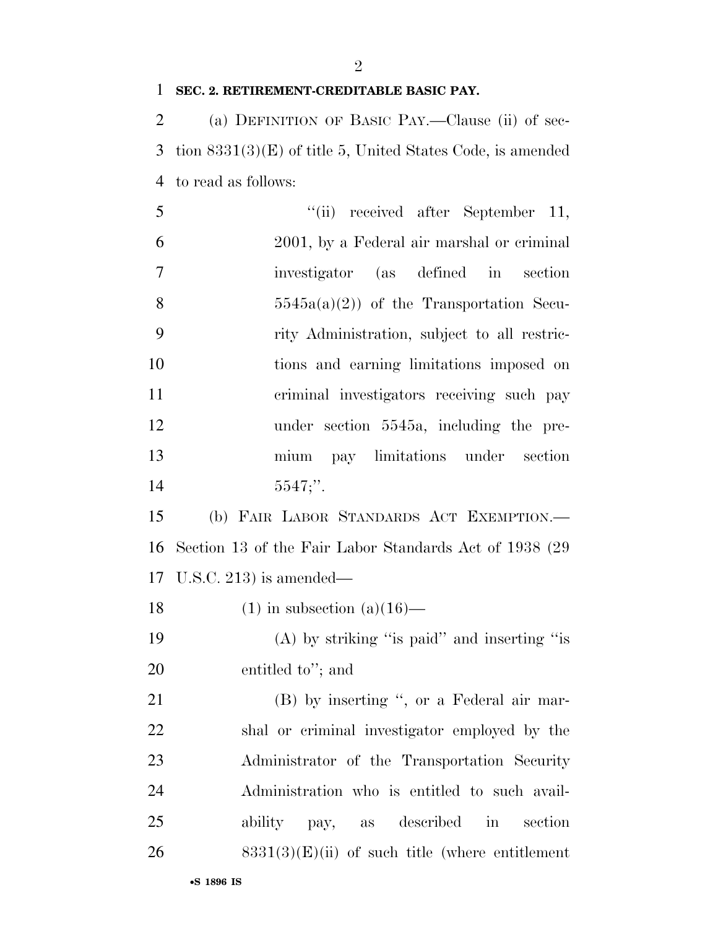#### **SEC. 2. RETIREMENT-CREDITABLE BASIC PAY.**

 (a) DEFINITION OF BASIC PAY.—Clause (ii) of sec- tion 8331(3)(E) of title 5, United States Code, is amended to read as follows:

| 5              | "(ii) received after September 11,                      |
|----------------|---------------------------------------------------------|
| 6              | 2001, by a Federal air marshal or criminal              |
| $\overline{7}$ | investigator (as defined in section                     |
| 8              | $5545a(a)(2)$ of the Transportation Secu-               |
| 9              | rity Administration, subject to all restric-            |
| 10             | tions and earning limitations imposed on                |
| 11             | criminal investigators receiving such pay               |
| 12             | under section 5545a, including the pre-                 |
| 13             | pay limitations under section<br>mium                   |
| 14             | $5547$ ;".                                              |
| 15             | (b) FAIR LABOR STANDARDS ACT EXEMPTION.-                |
| 16             | Section 13 of the Fair Labor Standards Act of 1938 (29) |
|                | 17 U.S.C. 213) is amended—                              |
| 18             | $(1)$ in subsection $(a)(16)$ —                         |
| 19             | $(A)$ by striking "is paid" and inserting "is           |
|                |                                                         |

 entitled to''; and 21 (B) by inserting ", or a Federal air mar-

 shal or criminal investigator employed by the Administrator of the Transportation Security Administration who is entitled to such avail- ability pay, as described in section 8331(3)(E)(ii) of such title (where entitlement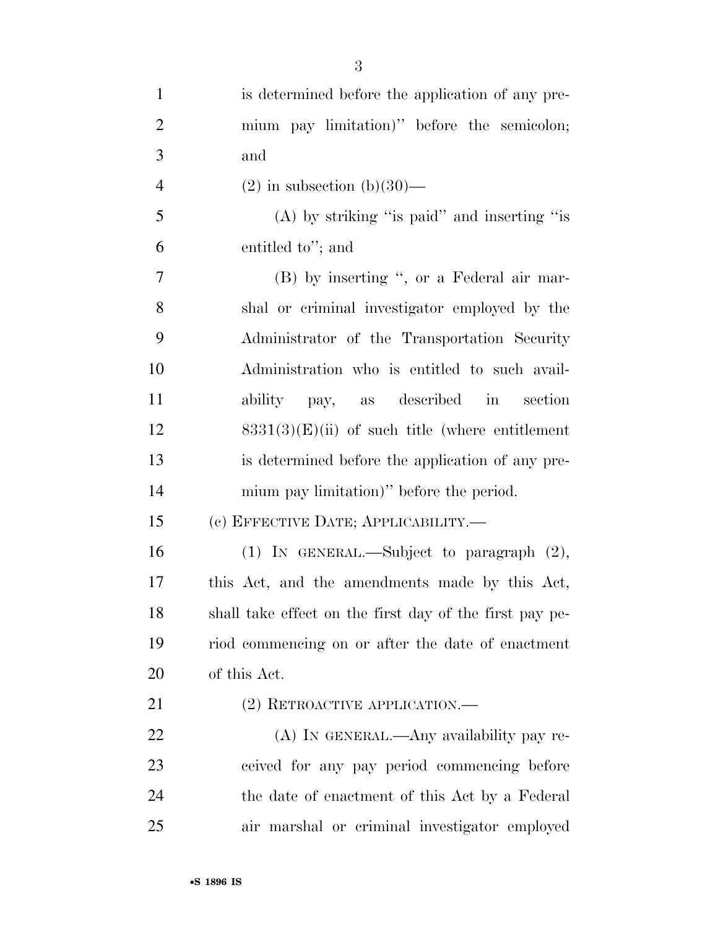| $\mathbf{1}$   | is determined before the application of any pre-        |
|----------------|---------------------------------------------------------|
| $\overline{2}$ | mium pay limitation)" before the semicolon;             |
| 3              | and                                                     |
| $\overline{4}$ | $(2)$ in subsection $(b)(30)$ —                         |
| 5              | (A) by striking "is paid" and inserting "is             |
| 6              | entitled to"; and                                       |
| $\overline{7}$ | (B) by inserting ", or a Federal air mar-               |
| 8              | shal or criminal investigator employed by the           |
| 9              | Administrator of the Transportation Security            |
| 10             | Administration who is entitled to such avail-           |
| 11             | ability pay, as described in<br>section                 |
| 12             | $8331(3)(E)(ii)$ of such title (where entitlement       |
| 13             | is determined before the application of any pre-        |
| 14             | mium pay limitation)" before the period.                |
| 15             | (с) EFFECTIVE DATE; APPLICABILITY.—                     |
| 16             | (1) IN GENERAL.—Subject to paragraph $(2)$ ,            |
| 17             | this Act, and the amendments made by this Act,          |
| 18             | shall take effect on the first day of the first pay pe- |
| 19             | riod commencing on or after the date of enactment       |
| 20             | of this Act.                                            |
| 21             | $(2)$ RETROACTIVE APPLICATION.—                         |
| 22             | (A) IN GENERAL.—Any availability pay re-                |
| 23             | ceived for any pay period commencing before             |
| 24             | the date of enactment of this Act by a Federal          |
| 25             | air marshal or criminal investigator employed           |